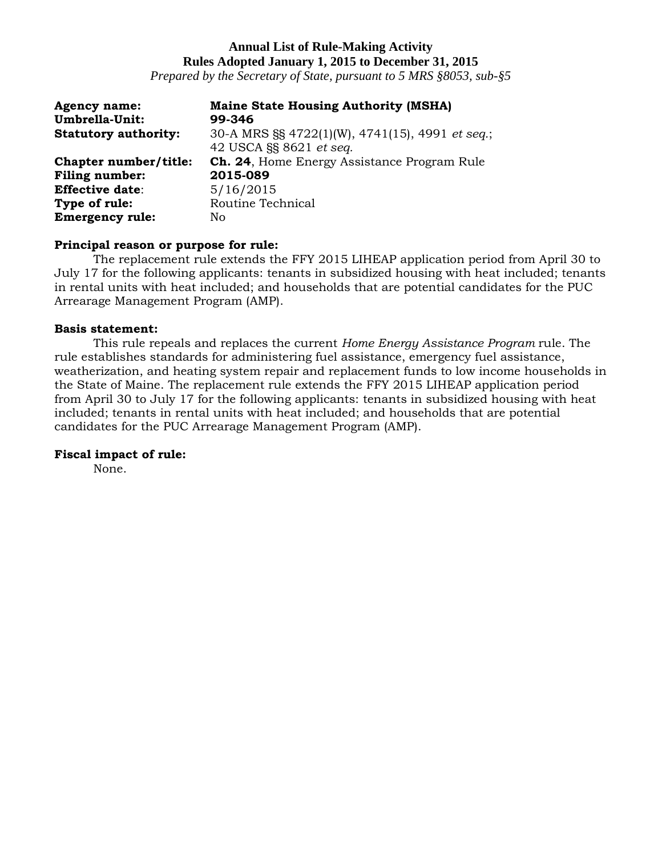# **Annual List of Rule-Making Activity Rules Adopted January 1, 2015 to December 31, 2015**

*Prepared by the Secretary of State, pursuant to 5 MRS §8053, sub-§5*

| <b>Agency name:</b><br>Umbrella-Unit: | <b>Maine State Housing Authority (MSHA)</b><br>99-346                      |
|---------------------------------------|----------------------------------------------------------------------------|
| <b>Statutory authority:</b>           | 30-A MRS §§ 4722(1)(W), 4741(15), 4991 et seq.;<br>42 USCA §§ 8621 et seq. |
| Chapter number/title:                 | <b>Ch. 24, Home Energy Assistance Program Rule</b>                         |
| <b>Filing number:</b>                 | 2015-089                                                                   |
| <b>Effective date:</b>                | 5/16/2015                                                                  |
| Type of rule:                         | Routine Technical                                                          |
| <b>Emergency rule:</b>                | No                                                                         |

### **Principal reason or purpose for rule:**

The replacement rule extends the FFY 2015 LIHEAP application period from April 30 to July 17 for the following applicants: tenants in subsidized housing with heat included; tenants in rental units with heat included; and households that are potential candidates for the PUC Arrearage Management Program (AMP).

### **Basis statement:**

This rule repeals and replaces the current *Home Energy Assistance Program* rule. The rule establishes standards for administering fuel assistance, emergency fuel assistance, weatherization, and heating system repair and replacement funds to low income households in the State of Maine. The replacement rule extends the FFY 2015 LIHEAP application period from April 30 to July 17 for the following applicants: tenants in subsidized housing with heat included; tenants in rental units with heat included; and households that are potential candidates for the PUC Arrearage Management Program (AMP).

### **Fiscal impact of rule:**

None.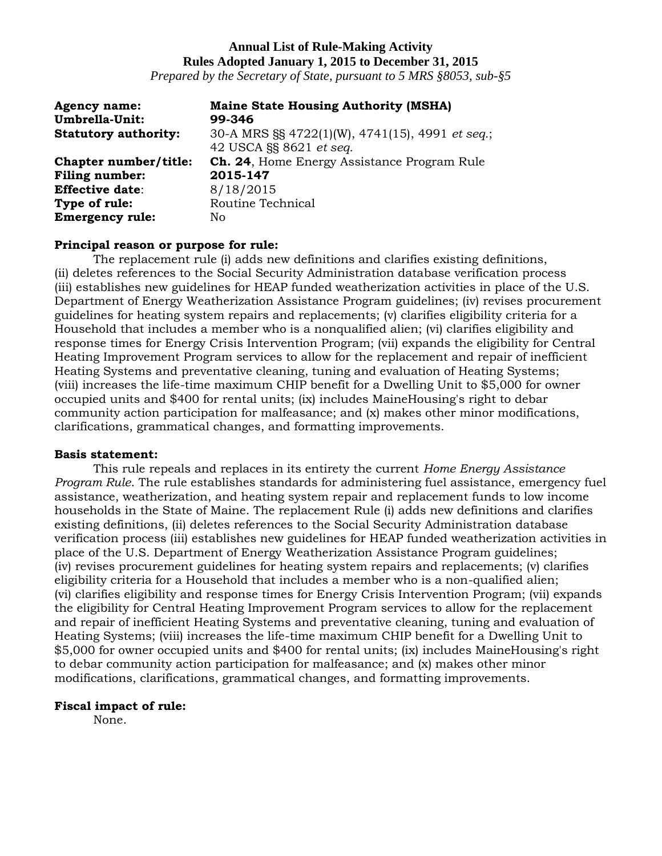# **Annual List of Rule-Making Activity Rules Adopted January 1, 2015 to December 31, 2015**

*Prepared by the Secretary of State, pursuant to 5 MRS §8053, sub-§5*

| <b>Agency name:</b><br>Umbrella-Unit: | <b>Maine State Housing Authority (MSHA)</b><br>99-346                      |
|---------------------------------------|----------------------------------------------------------------------------|
| <b>Statutory authority:</b>           | 30-A MRS §§ 4722(1)(W), 4741(15), 4991 et seq.;<br>42 USCA §§ 8621 et seq. |
| Chapter number/title:                 | <b>Ch. 24, Home Energy Assistance Program Rule</b>                         |
| <b>Filing number:</b>                 | 2015-147                                                                   |
| <b>Effective date:</b>                | 8/18/2015                                                                  |
| Type of rule:                         | Routine Technical                                                          |
| <b>Emergency rule:</b>                | No                                                                         |

### **Principal reason or purpose for rule:**

The replacement rule (i) adds new definitions and clarifies existing definitions, (ii) deletes references to the Social Security Administration database verification process (iii) establishes new guidelines for HEAP funded weatherization activities in place of the U.S. Department of Energy Weatherization Assistance Program guidelines; (iv) revises procurement guidelines for heating system repairs and replacements; (v) clarifies eligibility criteria for a Household that includes a member who is a nonqualified alien; (vi) clarifies eligibility and response times for Energy Crisis Intervention Program; (vii) expands the eligibility for Central Heating Improvement Program services to allow for the replacement and repair of inefficient Heating Systems and preventative cleaning, tuning and evaluation of Heating Systems; (viii) increases the life-time maximum CHIP benefit for a Dwelling Unit to \$5,000 for owner occupied units and \$400 for rental units; (ix) includes MaineHousing's right to debar community action participation for malfeasance; and (x) makes other minor modifications, clarifications, grammatical changes, and formatting improvements.

### **Basis statement:**

This rule repeals and replaces in its entirety the current *Home Energy Assistance Program Rule*. The rule establishes standards for administering fuel assistance, emergency fuel assistance, weatherization, and heating system repair and replacement funds to low income households in the State of Maine. The replacement Rule (i) adds new definitions and clarifies existing definitions, (ii) deletes references to the Social Security Administration database verification process (iii) establishes new guidelines for HEAP funded weatherization activities in place of the U.S. Department of Energy Weatherization Assistance Program guidelines; (iv) revises procurement guidelines for heating system repairs and replacements; (v) clarifies eligibility criteria for a Household that includes a member who is a non-qualified alien; (vi) clarifies eligibility and response times for Energy Crisis Intervention Program; (vii) expands the eligibility for Central Heating Improvement Program services to allow for the replacement and repair of inefficient Heating Systems and preventative cleaning, tuning and evaluation of Heating Systems; (viii) increases the life-time maximum CHIP benefit for a Dwelling Unit to \$5,000 for owner occupied units and \$400 for rental units; (ix) includes MaineHousing's right to debar community action participation for malfeasance; and (x) makes other minor modifications, clarifications, grammatical changes, and formatting improvements.

### **Fiscal impact of rule:**

None.